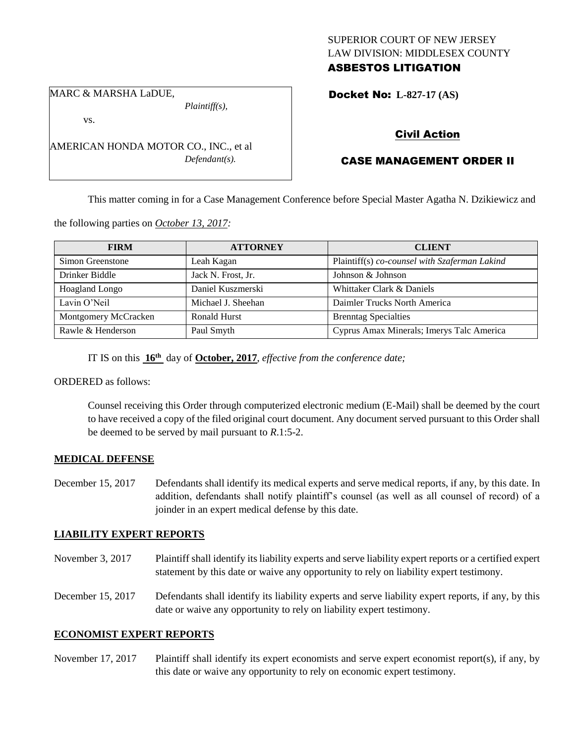# SUPERIOR COURT OF NEW JERSEY LAW DIVISION: MIDDLESEX COUNTY ASBESTOS LITIGATION

Docket No: **L-827-17 (AS)** 

MARC & MARSHA LaDUE,

vs.

*Plaintiff(s),*

*Defendant(s).*

Civil Action

# CASE MANAGEMENT ORDER II

This matter coming in for a Case Management Conference before Special Master Agatha N. Dzikiewicz and

the following parties on *October 13, 2017:*

AMERICAN HONDA MOTOR CO., INC., et al

| <b>FIRM</b>          | <b>ATTORNEY</b>     | <b>CLIENT</b>                                 |
|----------------------|---------------------|-----------------------------------------------|
| Simon Greenstone     | Leah Kagan          | Plaintiff(s) co-counsel with Szaferman Lakind |
| Drinker Biddle       | Jack N. Frost, Jr.  | Johnson & Johnson                             |
| Hoagland Longo       | Daniel Kuszmerski   | Whittaker Clark & Daniels                     |
| Lavin O'Neil         | Michael J. Sheehan  | Daimler Trucks North America                  |
| Montgomery McCracken | <b>Ronald Hurst</b> | <b>Brenntag Specialties</b>                   |
| Rawle & Henderson    | Paul Smyth          | Cyprus Amax Minerals; Imerys Talc America     |

IT IS on this **16th** day of **October, 2017**, *effective from the conference date;*

ORDERED as follows:

Counsel receiving this Order through computerized electronic medium (E-Mail) shall be deemed by the court to have received a copy of the filed original court document. Any document served pursuant to this Order shall be deemed to be served by mail pursuant to *R*.1:5-2.

#### **MEDICAL DEFENSE**

December 15, 2017 Defendants shall identify its medical experts and serve medical reports, if any, by this date. In addition, defendants shall notify plaintiff's counsel (as well as all counsel of record) of a joinder in an expert medical defense by this date.

# **LIABILITY EXPERT REPORTS**

November 3, 2017 Plaintiff shall identify its liability experts and serve liability expert reports or a certified expert statement by this date or waive any opportunity to rely on liability expert testimony.

December 15, 2017 Defendants shall identify its liability experts and serve liability expert reports, if any, by this date or waive any opportunity to rely on liability expert testimony.

#### **ECONOMIST EXPERT REPORTS**

November 17, 2017 Plaintiff shall identify its expert economists and serve expert economist report(s), if any, by this date or waive any opportunity to rely on economic expert testimony.